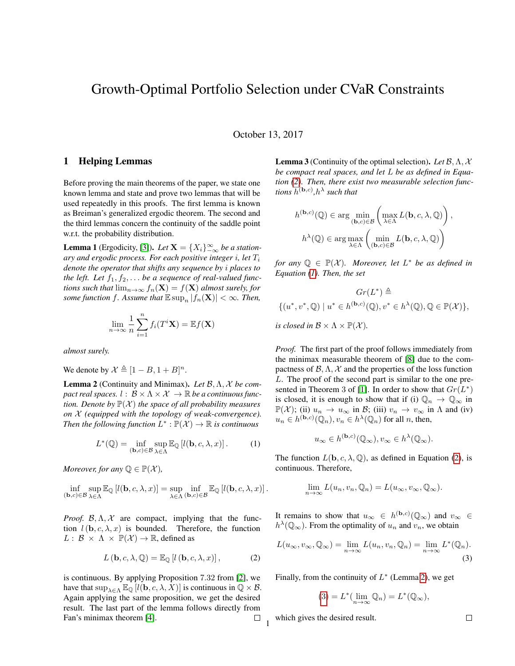# Growth-Optimal Portfolio Selection under CVaR Constraints

October 13, 2017

#### 1 Helping Lemmas

Before proving the main theorems of the paper, we state one known lemma and state and prove two lemmas that will be used repeatedly in this proofs. The first lemma is known as Breiman's generalized ergodic theorem. The second and the third lemmas concern the continuity of the saddle point w.r.t. the probability distribution.

<span id="page-0-5"></span>**Lemma 1** (Ergodicity, [\[3\]](#page-6-0)). *Let*  $X = \{X_i\}_{-\infty}^{\infty}$  *be a stationary and ergodic process. For each positive integer* i*, let* T<sup>i</sup> *denote the operator that shifts any sequence by* i *places to the left. Let*  $f_1, f_2, \ldots$  *be a sequence of real-valued functions such that*  $\lim_{n\to\infty} f_n(\mathbf{X}) = f(\mathbf{X})$  *almost surely, for some function f. Assume that*  $\mathbb{E} \sup_n |f_n(\mathbf{X})| < \infty$ *. Then,* 

$$
\lim_{n \to \infty} \frac{1}{n} \sum_{i=1}^{n} f_i(T^i \mathbf{X}) = \mathbb{E} f(\mathbf{X})
$$

*almost surely.*

We denote by  $\mathcal{X} \triangleq [1 - B, 1 + B]^n$ .

<span id="page-0-2"></span>Lemma 2 (Continuity and Minimax). *Let* B,Λ, X *be compact real spaces.*  $l : \mathcal{B} \times \Lambda \times \mathcal{X} \rightarrow \mathbb{R}$  *be a continuous function. Denote by*  $\mathbb{P}(\mathcal{X})$  *the space of all probability measures on* X *(equipped with the topology of weak-convergence). Then the following function*  $L^* : \mathbb{P}(\mathcal{X}) \to \mathbb{R}$  *is continuous* 

$$
L^*(\mathbb{Q}) = \inf_{(\mathbf{b},c)\in\mathcal{B}} \sup_{\lambda \in \Lambda} \mathbb{E}_{\mathbb{Q}} \left[ l(\mathbf{b},c,\lambda,x) \right]. \tag{1}
$$

*Moreover, for any*  $\mathbb{Q} \in \mathbb{P}(\mathcal{X})$ *,* 

$$
\inf_{(\mathbf{b},c)\in\mathcal{B}}\sup_{\lambda\in\Lambda}\mathbb{E}_{\mathbb{Q}}\left[l(\mathbf{b},c,\lambda,x)\right]=\sup_{\lambda\in\Lambda}\inf_{(\mathbf{b},c)\in\mathcal{B}}\mathbb{E}_{\mathbb{Q}}\left[l(\mathbf{b},c,\lambda,x)\right].
$$

*Proof.*  $B, \Lambda, \mathcal{X}$  are compact, implying that the function  $l(\mathbf{b}, c, \lambda, x)$  is bounded. Therefore, the function  $L: \mathcal{B} \times \Lambda \times \mathbb{P}(\mathcal{X}) \to \mathbb{R}$ , defined as

$$
L(\mathbf{b}, c, \lambda, \mathbb{Q}) = \mathbb{E}_{\mathbb{Q}}[l(\mathbf{b}, c, \lambda, x)],
$$
 (2)

is continuous. By applying Proposition 7.32 from [\[2\]](#page-6-1), we have that  $\sup_{\lambda \in \Lambda} \mathbb{E}_{\mathbb{Q}} [l(\mathbf{b}, c, \lambda, X)]$  is continuous in  $\mathbb{Q} \times \mathcal{B}$ . Again applying the same proposition, we get the desired result. The last part of the lemma follows directly from Fan's minimax theorem [\[4\]](#page-6-2).  $\Box$  <span id="page-0-4"></span>Lemma 3 (Continuity of the optimal selection). *Let* B,Λ, X *be compact real spaces, and let* L *be as defined in Equation [\(2\)](#page-0-0). Then, there exist two measurable selection functions*  $h^{(\mathbf{b},c)}$ , $h^{\lambda}$  *such that* 

$$
h^{(\mathbf{b},c)}(\mathbb{Q}) \in \arg\min_{(\mathbf{b},c)\in\mathcal{B}} \left(\max_{\lambda\in\Lambda} L(\mathbf{b},c,\lambda,\mathbb{Q})\right),
$$

$$
h^{\lambda}(\mathbb{Q}) \in \arg\max_{\lambda\in\Lambda} \left(\min_{(\mathbf{b},c)\in\mathcal{B}} L(\mathbf{b},c,\lambda,\mathbb{Q})\right)
$$

*for any*  $\mathbb{Q} \in \mathbb{P}(\mathcal{X})$ *. Moreover, let*  $L^*$  *be as defined in Equation [\(1\)](#page-0-1). Then, the set*

$$
Gr(L^*) \triangleq
$$
  

$$
\{(u^*, v^*, \mathbb{Q}) \mid u^* \in h^{(\mathbf{b}, c)}(\mathbb{Q}), v^* \in h^{\lambda}(\mathbb{Q}), \mathbb{Q} \in \mathbb{P}(\mathcal{X})\},\
$$

*is closed in*  $\mathcal{B} \times \Lambda \times \mathbb{P}(\mathcal{X})$ *.* 

*Proof.* The first part of the proof follows immediately from the minimax measurable theorem of [\[8\]](#page-7-0) due to the compactness of  $\mathcal{B}, \Lambda, \mathcal{X}$  and the properties of the loss function L. The proof of the second part is similar to the one pre-sented in Theorem 3 of [\[1\]](#page-6-3). In order to show that  $Gr(L^*)$ is closed, it is enough to show that if (i)  $\mathbb{Q}_n \to \mathbb{Q}_\infty$  in  $\mathbb{P}(\mathcal{X})$ ; (ii)  $u_n \to u_\infty$  in B; (iii)  $v_n \to v_\infty$  in  $\Lambda$  and (iv)  $u_n \in h^{(\mathbf{b},c)}(\mathbb{Q}_n), v_n \in h^{\lambda}(\mathbb{Q}_n)$  for all n, then,

$$
u_{\infty} \in h^{(\mathbf{b},c)}(\mathbb{Q}_{\infty}), v_{\infty} \in h^{\lambda}(\mathbb{Q}_{\infty}).
$$

<span id="page-0-1"></span>The function  $L(\mathbf{b}, c, \lambda, \mathbb{Q})$ , as defined in Equation [\(2\)](#page-0-0), is continuous. Therefore,

$$
\lim_{n\to\infty} L(u_n,v_n,\mathbb{Q}_n)=L(u_\infty,v_\infty,\mathbb{Q}_\infty).
$$

It remains to show that  $u_{\infty} \in h^{(\mathbf{b},c)}(\mathbb{Q}_{\infty})$  and  $v_{\infty} \in$  $h^{\lambda}(\mathbb{Q}_{\infty})$ . From the optimality of  $u_n$  and  $v_n$ , we obtain

<span id="page-0-0"></span>
$$
L(u_{\infty}, v_{\infty}, \mathbb{Q}_{\infty}) = \lim_{n \to \infty} L(u_n, v_n, \mathbb{Q}_n) = \lim_{n \to \infty} L^*(\mathbb{Q}_n).
$$
\n(3)

Finally, from the continuity of  $L^*$  (Lemma [2\)](#page-0-2), we get

$$
(3) = L^*(\lim_{n \to \infty} \mathbb{Q}_n) = L^*(\mathbb{Q}_\infty),
$$

which gives the desired result. 1

<span id="page-0-3"></span> $\Box$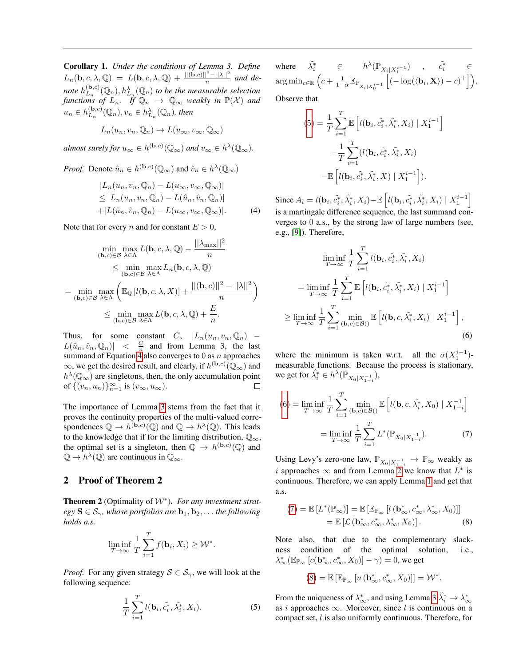<span id="page-1-5"></span>Corollary 1. *Under the conditions of Lemma 3. Define*  $L_n(\mathbf{b}, c, \lambda, \mathbb{Q}) = L(\mathbf{b}, c, \lambda, \mathbb{Q}) + \frac{||(\mathbf{b}, c)||^2 - ||\lambda||^2}{n}$  and denote  $h_{L_x}^{(\mathbf{b},c)}$  $(L_n^{(b,c)}(\mathbb{Q}_n), h_{L_n}^{\lambda}(\mathbb{Q}_n)$  to be the measurable selection *functions of*  $L_n$ . If  $\mathbb{Q}_n \to \mathbb{Q}_\infty$  *weakly in*  $\mathbb{P}(\mathcal{X})$  *and*  $u_n \in h_{L_n}^{(\mathbf{b},c)}$  $L_n^{(\mathbf{b},c)}(\mathbb{Q}_n), v_n \in h_{L_n}^{\lambda}(\mathbb{Q}_n)$ , then

$$
L_n(u_n, v_n, \mathbb{Q}_n) \to L(u_\infty, v_\infty, \mathbb{Q}_\infty)
$$

*almost surely for*  $u_{\infty} \in h^{(\mathbf{b},c)}(\mathbb{Q}_{\infty})$  *and*  $v_{\infty} \in h^{\lambda}(\mathbb{Q}_{\infty})$ *.* 

*Proof.* Denote  $\hat{u}_n \in h^{(\mathbf{b},c)}(\mathbb{Q}_{\infty})$  and  $\hat{v}_n \in h^{\lambda}(\mathbb{Q}_{\infty})$ 

$$
|L_n(u_n, v_n, \mathbb{Q}_n) - L(u_\infty, v_\infty, \mathbb{Q}_\infty)|
$$
  
\n
$$
\leq |L_n(u_n, v_n, \mathbb{Q}_n) - L(\hat{u}_n, \hat{v}_n, \mathbb{Q}_n)|
$$
  
\n
$$
+ |L(\hat{u}_n, \hat{v}_n, \mathbb{Q}_n) - L(u_\infty, v_\infty, \mathbb{Q}_\infty)|.
$$
 (4)

Note that for every *n* and for constant  $E > 0$ ,

$$
\min_{\substack{(\mathbf{b},c)\in\mathcal{B} \\ (\mathbf{b},c)\in\mathcal{B}}} \max_{\lambda \in \Lambda} L(\mathbf{b}, c, \lambda, \mathbb{Q}) - \frac{||\lambda_{\max}||^2}{n}
$$
\n
$$
\leq \min_{(\mathbf{b},c)\in\mathcal{B}} \max_{\lambda \in \Lambda} L_n(\mathbf{b}, c, \lambda, \mathbb{Q})
$$
\n
$$
= \min_{(\mathbf{b},c)\in\mathcal{B}} \max_{\lambda \in \Lambda} \left( \mathbb{E}_{\mathbb{Q}} \left[ l(\mathbf{b}, c, \lambda, X) \right] + \frac{||(\mathbf{b},c)||^2 - ||\lambda||^2}{n} \right)
$$
\n
$$
\leq \min_{(\mathbf{b},c)\in\mathcal{B}} \max_{\lambda \in \Lambda} L(\mathbf{b}, c, \lambda, \mathbb{Q}) + \frac{E}{n}.
$$

Thus, for some constant C,  $|L_n(u_n, v_n, \mathbb{Q}_n)|$  –  $L(\hat{u}_n, \hat{v}_n, \mathbb{Q}_n)$  |  $\lt$   $\frac{C}{n}$  and from Lemma 3, the last summand of Equation [4](#page-1-0) also converges to  $0$  as  $n$  approaches  $\infty$ , we get the desired result, and clearly, if  $h^{(\mathbf{b},c)}(\mathbb{Q}_{\infty})$  and  $h^{\lambda}(\mathbb{Q}_{\infty})$  are singletons, then, the only accumulation point of  $\{(v_n, u_n)\}_{n=1}^{\infty}$  is  $(v_{\infty}, u_{\infty})$ . □

The importance of Lemma [3](#page-0-4) stems from the fact that it proves the continuity properties of the multi-valued correspondences  $\mathbb{Q} \to h^{(\mathbf{b},c)}(\mathbb{Q})$  and  $\mathbb{Q} \to h^{\lambda}(\mathbb{Q})$ . This leads to the knowledge that if for the limiting distribution,  $\mathbb{O}_{\infty}$ , the optimal set is a singleton, then  $\mathbb{Q} \to h^{(\mathbf{b},c)}(\mathbb{Q})$  and  $\mathbb{Q} \to \overline{h^{\lambda}(\mathbb{Q})}$  are continuous in  $\mathbb{Q}_{\infty}$ .

## 2 Proof of Theorem 2

<span id="page-1-6"></span>Theorem 2 (Optimality of W<sup>∗</sup> ). *For any investment strat* $egy S \in S_{\gamma}$ , whose portfolios are  $b_1, b_2, \ldots$  the following *holds a.s.*

$$
\liminf_{T \to \infty} \frac{1}{T} \sum_{i=1}^T f(\mathbf{b}_i, X_i) \geq \mathcal{W}^*.
$$

*Proof.* For any given strategy  $S \in S_{\gamma}$ , we will look at the following sequence:

$$
\frac{1}{T} \sum_{i=1}^{T} l(\mathbf{b}_i, \tilde{c}_i^*, \tilde{\lambda}_i^*, X_i).
$$
\n(5)

where  $\tilde{h}^* \in h^{\lambda}(\mathbb{P}_{X_i | X_1^{i-1}})$  ,  $\tilde{c}_i^* \in$ 1  $\arg\min_{c\in\mathbb{R}}\left(c+\frac{1}{1-\alpha}\mathbb{E}_{\mathbb{P}_{X_i|X_0^{i-1}}} \right)$  $\left[(-\log(\langle \mathbf{b}_i, \mathbf{X} \rangle) - c)^+\right]$ . Observe that

$$
(5) = \frac{1}{T} \sum_{i=1}^{T} \mathbb{E} \left[ l(\mathbf{b}_{i}, \tilde{c}_{i}^{*}, \tilde{\lambda}_{i}^{*}, X_{i}) \mid X_{1}^{i-1} \right] - \frac{1}{T} \sum_{i=1}^{T} (l(\mathbf{b}_{i}, \tilde{c}_{i}^{*}, \tilde{\lambda}_{i}^{*}, X_{i}) - \mathbb{E} \left[ l(\mathbf{b}_{i}, \tilde{c}_{i}^{*}, \tilde{\lambda}_{i}^{*}, X) \mid X_{1}^{i-1} \right]).
$$

<span id="page-1-0"></span>Since  $A_i = l(\mathbf{b}_i, \tilde{c}_i^*, \tilde{\lambda}_i^*, X_i) - \mathbb{E}\left[l(\mathbf{b}_i, \tilde{c}_i^*, \tilde{\lambda}_i^*, X_i) \mid X_1^{i-1}\right]$ is a martingale difference sequence, the last summand converges to 0 a.s., by the strong law of large numbers (see, e.g., [\[9\]](#page-7-1)). Therefore,

$$
\liminf_{T \to \infty} \frac{1}{T} \sum_{i=1}^{T} l(\mathbf{b}_i, \tilde{c}_i^*, \tilde{\lambda}_i^*, X_i)
$$
  
\n
$$
= \liminf_{T \to \infty} \frac{1}{T} \sum_{i=1}^{T} \mathbb{E} \left[ l(\mathbf{b}_i, \tilde{c}_i^*, \tilde{\lambda}_i^*, X_i) \mid X_1^{i-1} \right]
$$
  
\n
$$
\geq \liminf_{T \to \infty} \frac{1}{T} \sum_{i=1}^{T} \min_{(\mathbf{b}, c) \in \mathcal{B}(\mathcal{C})} \mathbb{E} \left[ l(\mathbf{b}, c, \tilde{\lambda}_i^*, X_i) \mid X_1^{i-1} \right],
$$
  
\n(6)

<span id="page-1-2"></span>where the minimum is taken w.r.t. all the  $\sigma(X_1^{i-1})$ measurable functions. Because the process is stationary, we get for  $\hat{\lambda}_i^* \in h^{\lambda}(\mathbb{P}_{X_0|X_{1-i}^{-1}})$ ,

<span id="page-1-3"></span>
$$
(6) = \liminf_{T \to \infty} \frac{1}{T} \sum_{i=1}^{T} \min_{(\mathbf{b}, c) \in \mathcal{B}(\mathcal{C})} \mathbb{E} \left[ l(\mathbf{b}, c, \hat{\lambda}_{i}^{*}, X_{0}) \mid X_{1-i}^{-1} \right]
$$

$$
= \liminf_{T \to \infty} \frac{1}{T} \sum_{i=1}^{T} L^{*}(\mathbb{P}_{X_{0}|X_{1-i}^{-1}}). \tag{7}
$$

Using Levy's zero-one law,  $\mathbb{P}_{X_0|X_{1-i}^{-1}} \to \mathbb{P}_{\infty}$  weakly as i approaches  $\infty$  and from Lemma [2](#page-0-2) we know that  $L^*$  is continuous. Therefore, we can apply Lemma [1](#page-0-5) and get that a.s.

$$
(7) = \mathbb{E}\left[L^*(\mathbb{P}_{\infty})\right] = \mathbb{E}\left[\mathbb{E}_{\mathbb{P}_{\infty}}\left[l\left(\mathbf{b}^*_{\infty}, c^*_{\infty}, \lambda^*_{\infty}, X_0\right)\right]\right]
$$

$$
= \mathbb{E}\left[\mathcal{L}\left(\mathbf{b}^*_{\infty}, c^*_{\infty}, \lambda^*_{\infty}, X_0\right)\right].
$$
 (8)

Note also, that due to the complementary slackness condition of the optimal solution, i.e.,  $\lambda^*_{\infty}(\mathbb{E}_{\mathbb{P}_{\infty}}[c(\mathbf{b}^*_{\infty},c^*_{\infty},X_0)]-\gamma)=0$ , we get

<span id="page-1-4"></span>
$$
(8) = \mathbb{E}\left[\mathbb{E}_{\mathbb{P}_{\infty}}\left[u\left(\mathbf{b}^*_{\infty}, c^*_{\infty}, X_0\right)\right]\right] = \mathcal{W}^*.
$$

<span id="page-1-1"></span>From the uniqueness of  $\lambda_{\infty}^*$ , and using Lemma [3](#page-0-4)  $\hat{\lambda}_i^* \to \lambda_{\infty}^*$ as i approaches  $\infty$ . Moreover, since l is continuous on a compact set, l is also uniformly continuous. Therefore, for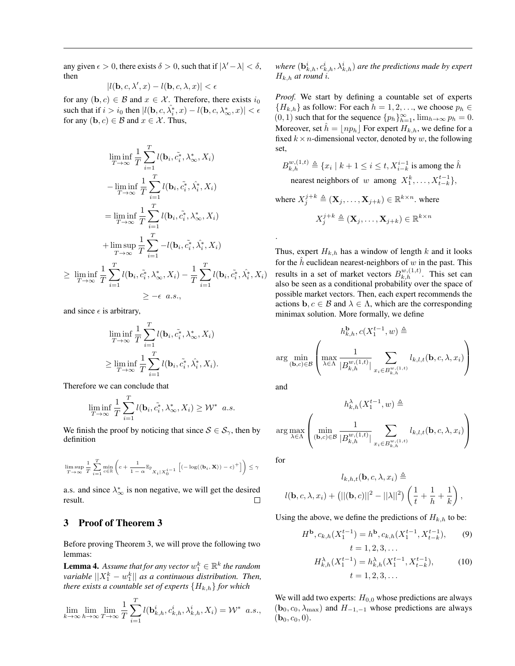any given  $\epsilon > 0$ , there exists  $\delta > 0$ , such that if  $|\lambda' - \lambda| < \delta$ , then

$$
|l(\mathbf{b},c,\lambda',x)-l(\mathbf{b},c,\lambda,x)|<\epsilon
$$

for any  $(b, c) \in \mathcal{B}$  and  $x \in \mathcal{X}$ . Therefore, there exists  $i_0$ such that if  $i > i_0$  then  $|l(\mathbf{b}, c, \hat{\lambda}_i^*, x) - l(\mathbf{b}, c, \lambda_\infty^*, x)| < \epsilon$ for any  $(b, c) \in \mathcal{B}$  and  $x \in \mathcal{X}$ . Thus,

$$
\liminf_{T \to \infty} \frac{1}{T} \sum_{i=1}^{T} l(\mathbf{b}_i, \tilde{c}_i^*, \lambda^*, X_i)
$$
\n
$$
-\liminf_{T \to \infty} \frac{1}{T} \sum_{i=1}^{T} l(\mathbf{b}_i, \tilde{c}_i^*, \hat{\lambda}_i^*, X_i)
$$
\n
$$
=\liminf_{T \to \infty} \frac{1}{T} \sum_{i=1}^{T} l(\mathbf{b}_i, \tilde{c}_i^*, \lambda^*, X_i)
$$
\n
$$
+\limsup_{T \to \infty} \frac{1}{T} \sum_{i=1}^{T} -l(\mathbf{b}_i, \tilde{c}_i^*, \hat{\lambda}_i^*, X_i)
$$
\n
$$
\geq \liminf_{T \to \infty} \frac{1}{T} \sum_{i=1}^{T} l(\mathbf{b}_i, \tilde{c}_i^*, \lambda^*, X_i) - \frac{1}{T} \sum_{i=1}^{T} l(\mathbf{b}_i, \tilde{c}_i^*, \hat{\lambda}_i^*, X_i)
$$
\n
$$
\geq -\epsilon \quad a.s.,
$$

and since  $\epsilon$  is arbitrary,

$$
\liminf_{T \to \infty} \frac{1}{T} \sum_{i=1}^T l(\mathbf{b}_i, \tilde{c}_i^*, \lambda^*, X_i)
$$
  
\n
$$
\geq \liminf_{T \to \infty} \frac{1}{T} \sum_{i=1}^T l(\mathbf{b}_i, \tilde{c}_i^*, \hat{\lambda}_i^*, X_i).
$$

Therefore we can conclude that

$$
\liminf_{T \to \infty} \frac{1}{T} \sum_{i=1}^{T} l(\mathbf{b}_i, \tilde{c}_i^*, \lambda^*, X_i) \geq W^* \quad a.s.
$$

We finish the proof by noticing that since  $S \in S_{\gamma}$ , then by definition

$$
\limsup_{T \to \infty} \frac{1}{T} \sum_{i=1}^T \min_{c \in \mathbb{R}} \left( c + \frac{1}{1-\alpha} \mathbb{E}_{\mathbb{P}_{X_i} | X_0^{i-1}} \left[ (-\log(\langle \mathbf{b}_i, \mathbf{X} \rangle) - c)^+ \right] \right) \leq \gamma
$$

a.s. and since  $\lambda_{\infty}^{*}$  is non negative, we will get the desired result.  $\Box$ 

## 3 Proof of Theorem 3

Before proving Theorem 3, we will prove the following two lemmas:

<span id="page-2-0"></span>**Lemma 4.** Assume that for any vector  $w_1^k \in \mathbb{R}^k$  the random  $variable \, ||X_1^k - w_1^k||$  as a continuous distribution. Then, *there exists a countable set of experts*  ${H_{k,h}}$  *for which* 

$$
\lim_{k \to \infty} \lim_{h \to \infty} \lim_{T \to \infty} \frac{1}{T} \sum_{i=1}^T l(\mathbf{b}_{k,h}^i, c_{k,h}^i, \lambda_{k,h}^i, X_i) = \mathcal{W}^* \quad a.s.,
$$

where  $(\mathbf{b}^i_{k,h},c^i_{k,h},\lambda^i_{k,h})$  are the predictions made by expert  $H_{k,h}$  *at round i.* 

*Proof.* We start by defining a countable set of experts  ${H_{k,h}}$  as follow: For each  $h = 1, 2, \ldots$ , we choose  $p_h \in$  $(0, 1)$  such that for the sequence  $\{p_h\}_{h=1}^{\infty}$ ,  $\lim_{h\to\infty} p_h = 0$ . Moreover, set  $\hat{h} = \lfloor np_h \rfloor$  For expert  $H_{k,h}$ , we define for a fixed  $k \times n$ -dimensional vector, denoted by w, the following set,

$$
B_{k,h}^{w,(1,t)} \triangleq \{x_i \mid k+1 \le i \le t, X_{i-k}^{i-1} \text{ is among the } \hat{h} \}
$$
  
nearest neighbors of  $w$  among  $X_1^k, \ldots, X_{t-k}^{t-1}\},$ 

where 
$$
X_j^{j+k} \triangleq (\mathbf{X}_j, ..., \mathbf{X}_{j+k}) \in \mathbb{R}^{k \times n}
$$
. where  

$$
X_j^{j+k} \triangleq (\mathbf{X}_j, ..., \mathbf{X}_{j+k}) \in \mathbb{R}^{k \times n}
$$

Thus, expert  $H_{k,h}$  has a window of length k and it looks for the  $\hat{h}$  euclidean nearest-neighbors of w in the past. This results in a set of market vectors  $B_{k,h}^{w,(1,t)}$ . This set can also be seen as a conditional probability over the space of possible market vectors. Then, each expert recommends the actions  $\mathbf{b}, c \in \mathcal{B}$  and  $\lambda \in \Lambda$ , which are the corresponding minimax solution. More formally, we define

$$
h_{k,h}^{\mathbf{b}}, c(X_1^{t-1}, w) \triangleq
$$
  
arg min<sub>(\mathbf{b},c) \in \mathcal{B}</sub>
$$
\left( \max_{\lambda \in \Lambda} \frac{1}{|B_{k,h}^{w,(1,t)}|} \sum_{x_i \in B_{k,h}^{w,(1,t)}} l_{k,l,t}(\mathbf{b}, c, \lambda, x_i) \right)
$$

and

.

$$
h_{k,h}^{\lambda}(X_1^{t-1}, w) \triangleq
$$
  
arg max
$$
\left(\min_{(\mathbf{b}, c) \in \mathcal{B}} \frac{1}{|B_{k,h}^{w,(1,t)}|} \sum_{x_i \in B_{k,h}^{w,(1,t)}} l_{k,l,t}(\mathbf{b}, c, \lambda, x_i)\right)
$$

for

$$
l_{k,h,t}(\mathbf{b}, c, \lambda, x_i) \triangleq
$$

$$
l(\mathbf{b}, c, \lambda, x_i) + (||( \mathbf{b}, c)||^2 - ||\lambda||^2) \left(\frac{1}{t} + \frac{1}{h} + \frac{1}{k}\right),
$$

Using the above, we define the predictions of  $H_{k,h}$  to be:

$$
H^{\mathbf{b}}, c_{k,h}(X_1^{t-1}) = h^{\mathbf{b}}, c_{k,h}(X_1^{t-1}, X_{t-k}^{t-1}),
$$
(9)  

$$
t = 1, 2, 3, ...
$$

$$
H_{k,h}^{\lambda}(X_1^{t-1}) = h_{k,h}^{\lambda}(X_1^{t-1}, X_{t-k}^{t-1}),
$$
(10)  

$$
t = 1, 2, 3, ...
$$

We will add two experts:  $H_{0,0}$  whose predictions are always  $(b_0, c_0, \lambda_{\text{max}})$  and  $H_{-1,-1}$  whose predictions are always  $({\bf b}_0, c_0, 0).$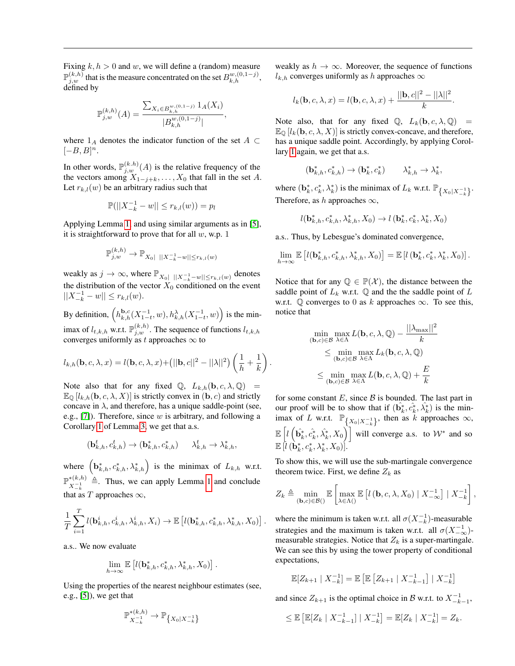Fixing  $k, h > 0$  and w, we will define a (random) measure  $\mathbb{P}_{j,w}^{(k,h)}$  that is the measure concentrated on the set  $B_{k,h}^{w,(0,1-j)}$ , defined by

$$
\mathbb{P}_{j,w}^{(k,h)}(A) = \frac{\sum_{X_i \in B_{k,h}^{w,(0,1-j)}} 1_A(X_i)}{|B_{k,h}^{w,(0,1-j)}|},
$$

where  $1_A$  denotes the indicator function of the set  $A \subset$  $[-B, B]^n$ .

In other words,  $\mathbb{P}_{j,w}^{(k,h)}(A)$  is the relative frequency of the the vectors among  $X_{1-j+k}, \ldots, X_0$  that fall in the set A. Let  $r_{k,l}(w)$  be an arbitrary radius such that

$$
\mathbb{P}(||X_{-k}^{-1} - w|| \le r_{k,l}(w)) = p_l
$$

Applying Lemma [1,](#page-0-5) and using similar arguments as in [\[5\]](#page-6-4), it is straightforward to prove that for all  $w$ , w.p. 1

$$
\mathbb{P}_{j,w}^{(k,h)} \to \mathbb{P}_{X_0|\,||X_{-k}^{-1} - w|| \le r_{k,l}(w)}
$$

weakly as  $j \to \infty$ , where  $\mathbb{P}_{X_0|\||X_{-k}^{-1} - w|| \leq r_{k,l}(w)}$  denotes the distribution of the vector  $X_0$  conditioned on the event  $||X_{-k}^{-1} - w|| \leq r_{k,l}(w).$ 

By definition,  $(h_{k,h}^{b,c}(X_{1-t}^{-1}, w), h_{k,h}^{\lambda}(X_{1-t}^{-1}, w))$  is the minimax of  $l_{t,k,h}$  w.r.t.  $\mathbb{P}_{j,w}^{(k,h)}$ . The sequence of functions  $l_{t,k,h}$ converges uniformly as t approaches  $\infty$  to

$$
l_{k,h}(\mathbf{b}, c, \lambda, x) = l(\mathbf{b}, c, \lambda, x) + (||\mathbf{b}, c||^2 - ||\lambda||^2) \left(\frac{1}{h} + \frac{1}{k}\right)
$$

Note also that for any fixed  $\mathbb{Q}$ ,  $L_{k,h}(\mathbf{b}, c, \lambda, \mathbb{Q}) =$  $\mathbb{E}_{\mathbb{Q}}\left[l_{k,h}(\mathbf{b},c,\lambda,X)\right]$  is strictly convex in  $(\mathbf{b},c)$  and strictly concave in  $\lambda$ , and therefore, has a unique saddle-point (see, e.g., [\[7\]](#page-7-2)). Therefore, since  $w$  is arbitrary, and following a Corollary [1](#page-1-5) of Lemma [3,](#page-0-4) we get that a.s.

$$
(\mathbf{b}_{k,h}^t,c_{k,h}^t)\rightarrow(\mathbf{b}_{k,h}^*,c_{k,h}^*)\quad \ \ \lambda_{k,h}^t\rightarrow \lambda_{k,h}^*,
$$

where  $(b^*_{k,h}, c^*_{k,h}, \lambda^*_{k,h})$  is the minimax of  $L_{k,h}$  w.r.t.  $\mathbb{P}^{*(k,h)}$  $x_{-k}^{*(k,h)} \triangleq$ . Thus, we can apply Lemma [1](#page-0-5) and conclude that as T approaches  $\infty$ ,

$$
\frac{1}{T} \sum_{i=1}^T l(\mathbf{b}_{k,h}^i, c_{k,h}^i, \lambda_{k,h}^i, X_i) \to \mathbb{E}\left[l(\mathbf{b}_{k,h}^*, c_{k,h}^*, \lambda_{k,h}^*, X_0)\right]
$$

a.s.. We now evaluate

$$
\lim_{h \to \infty} \mathbb{E}\left[l(\mathbf{b}_{k,h}^*, c_{k,h}^*, \lambda_{k,h}^*, X_0)\right]
$$

.

Using the properties of the nearest neighbour estimates (see, e.g., [\[5\]](#page-6-4)), we get that

$$
\mathbb{P}_{X_{-k}^{-1}}^{*(k,h)} \to \mathbb{P}_{\{X_0|X_{-k}^{-1}\}}
$$

weakly as  $h \to \infty$ . Moreover, the sequence of functions  $l_{k,h}$  converges uniformly as h approaches  $\infty$ 

$$
l_k(\mathbf{b}, c, \lambda, x) = l(\mathbf{b}, c, \lambda, x) + \frac{||\mathbf{b}, c||^2 - ||\lambda||^2}{k}.
$$

Note also, that for any fixed  $\mathbb{Q}$ ,  $L_k(\mathbf{b}, c, \lambda, \mathbb{Q})$  =  $\mathbb{E}_{\mathbb{Q}}\left[l_k(\mathbf{b}, c, \lambda, X)\right]$  is strictly convex-concave, and therefore, has a unique saddle point. Accordingly, by applying Corollary [1](#page-1-5) again, we get that a.s.

$$
(\mathbf{b}_{k,h}^*, c_{k,h}^*) \to (\mathbf{b}_k^*, c_k^*) \qquad \lambda_{k,h}^* \to \lambda_k^*,
$$

where  $(\mathbf{b}_k^*, c_k^*, \lambda_k^*)$  is the minimax of  $L_k$  w.r.t.  $\mathbb{P}_{\{X_0|X_{-k}^{-1}\}}$ . Therefore, as h approaches  $\infty$ ,

$$
l(\mathbf{b}_{k,h}^*,c_{k,h}^*,\lambda_{k,h}^*,X_0)\rightarrow l\left(\mathbf{b}_{k}^*,c_{k}^*,\lambda_{k}^*,X_0\right)
$$

a.s.. Thus, by Lebesgue's dominated convergence,

$$
\lim_{h\to\infty}\mathbb{E}\left[l(\mathbf{b}_{k,h}^*,c_{k,h}^*,\lambda_{k,h}^*,X_0)\right]=\mathbb{E}\left[l\left(\mathbf{b}_{k}^*,c_{k}^*,\lambda_{k}^*,X_0\right)\right].
$$

Notice that for any  $\mathbb{Q} \in \mathbb{P}(\mathcal{X})$ , the distance between the saddle point of  $L_k$  w.r.t.  $\mathbb Q$  and the the saddle point of  $L$ w.r.t.  $\mathbb Q$  converges to 0 as k approaches  $\infty$ . To see this, notice that

$$
\min_{(\mathbf{b},c)\in\mathcal{B}} \max_{\lambda\in\Lambda} L(\mathbf{b},c,\lambda,\mathbb{Q}) - \frac{||\lambda_{\max}||^2}{k}
$$
\n
$$
\leq \min_{(\mathbf{b},c)\in\mathcal{B}} \max_{\lambda\in\Lambda} L_k(\mathbf{b},c,\lambda,\mathbb{Q})
$$
\n
$$
\leq \min_{(\mathbf{b},c)\in\mathcal{B}} \max_{\lambda\in\Lambda} L(\mathbf{b},c,\lambda,\mathbb{Q}) + \frac{E}{k}
$$

.

.

for some constant  $E$ , since  $\beta$  is bounded. The last part in our proof will be to show that if  $(\hat{\mathbf{b}}_k^*, \hat{c}_k^*, \hat{\lambda}_k^*)$  is the minimax of L w.r.t.  $\mathbb{P}_{\left\{X_0 | X_{-k}^{-1}\right\}}$ , then as k approaches  $\infty$ ,  $\mathbb{E}\left[l\left(\hat{\mathbf{b}}_k^*, \hat{c}_k^*, \hat{\lambda}_k^*, X_0\right)\right]$  will converge a.s. to  $\mathcal{W}^*$  and so  $\mathbb{E}\,[\overline{l}\,(\grave{\mathbf{b}}^*_k, c^*_k, \lambda^*_k, X_0)]$ .

To show this, we will use the sub-martingale convergence theorem twice. First, we define  $Z_k$  as

$$
Z_k \triangleq \min_{(\mathbf{b},c)\in\mathcal{B}()} \mathbb{E}\left[\max_{\lambda\in\Lambda(\cdot)} \mathbb{E}\left[l\left(\mathbf{b},c,\lambda,X_0\right) \mid X_{-\infty}^{-1}\right] \mid X_{-k}^{-1}\right],
$$

where the minimum is taken w.r.t. all  $\sigma(X_{-k}^{-1})$ -measurable strategies and the maximum is taken w.r.t. all  $\sigma(X^{-1}_{-\infty})$ measurable strategies. Notice that  $Z_k$  is a super-martingale. We can see this by using the tower property of conditional expectations,

$$
\mathbb{E}[Z_{k+1} | X_{-k}^{-1}] = \mathbb{E} \left[ \mathbb{E} \left[ Z_{k+1} | X_{-k-1}^{-1} \right] | X_{-k}^{-1} \right]
$$

and since  $Z_{k+1}$  is the optimal choice in B w.r.t. to  $X_{-k-1}^{-1}$ ,

$$
\leq \mathbb{E}\left[\mathbb{E}[Z_k \mid X_{-k-1}^{-1}] \mid X_{-k}^{-1}\right] = \mathbb{E}[Z_k \mid X_{-k}^{-1}] = Z_k.
$$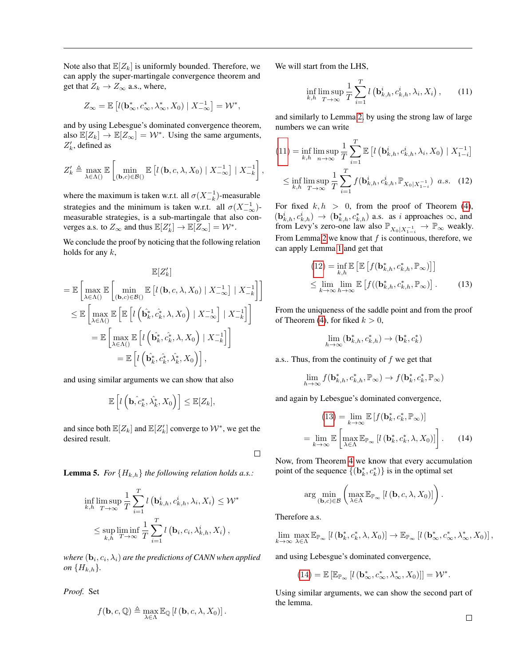Note also that  $\mathbb{E}[Z_k]$  is uniformly bounded. Therefore, we can apply the super-martingale convergence theorem and get that  $Z_k \to Z_\infty$  a.s., where,

$$
Z_{\infty} = \mathbb{E}\left[l(\mathbf{b}^*_{\infty}, c^*_{\infty}, \lambda^*_{\infty}, X_0) \mid X_{-\infty}^{-1}\right] = \mathcal{W}^*,
$$

and by using Lebesgue's dominated convergence theorem, also  $\mathbb{E}[Z_k] \to \mathbb{E}[Z_{\infty}] = \mathcal{W}^*$ . Using the same arguments,  $Z'_k$ , defined as

$$
Z'_{k} \triangleq \max_{\lambda \in \Lambda(\cdot)} \mathbb{E}\left[\min_{(\mathbf{b},c)\in\mathcal{B}(\cdot)} \mathbb{E}\left[l\left(\mathbf{b},c,\lambda,X_{0}\right) \mid X_{-\infty}^{-1}\right] \mid X_{-k}^{-1}\right]
$$

where the maximum is taken w.r.t. all  $\sigma(X_{-k}^{-1})$ -measurable strategies and the minimum is taken w.r.t. all  $\sigma(X^{-1}_{-\infty})$ measurable strategies, is a sub-martingale that also converges a.s. to  $Z_{\infty}$  and thus  $\mathbb{E}[Z_k'] \to \mathbb{E}[Z_{\infty}] = \mathcal{W}^*$ .

We conclude the proof by noticing that the following relation holds for any  $k$ ,

$$
\mathbb{E}[Z'_{k}]
$$
\n
$$
= \mathbb{E}\left[\max_{\lambda \in \Lambda(\cdot)} \mathbb{E}\left[\min_{(\mathbf{b},c) \in \mathcal{B}(\cdot)} \mathbb{E}\left[l(\mathbf{b},c,\lambda,X_{0}) \mid X_{-\infty}^{-1}\right] \mid X_{-k}^{-1}\right]\right]
$$
\n
$$
\leq \mathbb{E}\left[\max_{\lambda \in \Lambda(\cdot)} \mathbb{E}\left[\mathbb{E}\left[l\left(\hat{\mathbf{b}}_{k}^{*},\hat{c}_{k}^{*},\lambda,X_{0}\right) \mid X_{-\infty}^{-1}\right] \mid X_{-k}^{-1}\right]\right]
$$
\n
$$
= \mathbb{E}\left[\max_{\lambda \in \Lambda(\cdot)} \mathbb{E}\left[l\left(\hat{\mathbf{b}}_{k}^{*},\hat{c}_{k}^{*},\lambda,X_{0}\right) \mid X_{-k}^{-1}\right]\right]
$$
\n
$$
= \mathbb{E}\left[l\left(\hat{\mathbf{b}}_{k}^{*},\hat{c}_{k}^{*},\lambda_{k}^{*},X_{0}\right)\right],
$$

and using similar arguments we can show that also

$$
\mathbb{E}\left[l\left(\mathbf{b},\hat{c}_k^*,\hat{\lambda}_k^*,X_0\right)\right] \leq \mathbb{E}[Z_k],
$$

and since both  $\mathbb{E}[Z_k]$  and  $\mathbb{E}[Z'_k]$  converge to  $\mathcal{W}^*$ , we get the desired result.

 $\Box$ 

,

<span id="page-4-4"></span>**Lemma 5.** *For*  ${H_{k,h}}$  *the following relation holds a.s.:* 

$$
\inf_{k,h} \limsup_{T \to \infty} \frac{1}{T} \sum_{i=1}^{T} l\left(\mathbf{b}_{k,h}^i, c_{k,h}^i, \lambda_i, X_i\right) \leq W^*
$$
\n
$$
\leq \sup_{k,h} \liminf_{T \to \infty} \frac{1}{T} \sum_{i=1}^{T} l\left(\mathbf{b}_i, c_i, \lambda_{k,h}^i, X_i\right),
$$

where  $(\mathbf{b}_i, c_i, \lambda_i)$  are the predictions of CANN when applied *on*  ${H_{k,h}}$ .

*Proof.* Set

$$
f(\mathbf{b},c,\mathbb{Q}) \triangleq \max_{\lambda \in \Lambda} \mathbb{E}_{\mathbb{Q}} \left[ l\left(\mathbf{b},c,\lambda,X_0\right) \right].
$$

We will start from the LHS,

<span id="page-4-0"></span>
$$
\inf_{k,h} \limsup_{T \to \infty} \frac{1}{T} \sum_{i=1}^{T} l\left(\mathbf{b}_{k,h}^i, c_{k,h}^i, \lambda_i, X_i\right),\qquad(11)
$$

and similarly to Lemma [2,](#page-1-6) by using the strong law of large numbers we can write

$$
(11) = \inf_{k,h} \limsup_{n \to \infty} \frac{1}{T} \sum_{i=1}^{T} \mathbb{E} \left[ l\left(\mathbf{b}_{k,h}^i, c_{k,h}^i, \lambda_i, X_0\right) \mid X_{1-i}^{-1} \right]
$$
  

$$
\leq \inf_{k,h} \limsup_{T \to \infty} \frac{1}{T} \sum_{i=1}^{T} f(\mathbf{b}_{k,h}^i, c_{k,h}^i, \mathbb{P}_{X_0 | X_{1-i}^{-1}}) \ a.s. \quad (12)
$$

For fixed  $k, h > 0$ , from the proof of Theorem [\(4\)](#page-2-0),  $(b_{k,h}^i, c_{k,h}^i) \rightarrow (b_{k,h}^*, c_{k,h}^*)$  a.s. as i approaches  $\infty$ , and from Levy's zero-one law also  $\mathbb{P}_{X_0|X_{1-i}^{-1}} \to \mathbb{P}_{\infty}$  weakly. From Lemma [2](#page-0-2) we know that  $f$  is continuous, therefore, we can apply Lemma [1](#page-0-5) and get that

<span id="page-4-1"></span>
$$
(12) = \inf_{k,h} \mathbb{E} \left[ \mathbb{E} \left[ f(\mathbf{b}_{k,h}^*, c_{k,h}^*, \mathbb{P}_{\infty}) \right] \right]
$$
  

$$
\leq \lim_{k \to \infty} \lim_{h \to \infty} \mathbb{E} \left[ f((\mathbf{b}_{k,h}^*, c_{k,h}^*, \mathbb{P}_{\infty}) \right].
$$
 (13)

From the uniqueness of the saddle point and from the proof of Theorem [\(4\)](#page-2-0), for fiked  $k > 0$ ,

<span id="page-4-2"></span>
$$
\lim_{h\to\infty} (\mathbf{b}_{k,h}^*,c_{k,h}^*) \to (\mathbf{b}_{k}^*,c_{k}^*)
$$

a.s.. Thus, from the continuity of  $f$  we get that

$$
\lim_{h\to\infty} f(\mathbf{b}_{k,h}^*, c_{k,h}^*, \mathbb{P}_{\infty}) \to f(\mathbf{b}_k^*, c_k^*, \mathbb{P}_{\infty})
$$

and again by Lebesgue's dominated convergence,

<span id="page-4-3"></span>
$$
(13) = \lim_{k \to \infty} \mathbb{E} \left[ f(\mathbf{b}_k^*, c_k^*, \mathbb{P}_{\infty}) \right]
$$

$$
= \lim_{k \to \infty} \mathbb{E} \left[ \max_{\lambda \in \Lambda} \mathbb{E}_{\mathbb{P}_{\infty}} \left[ l(\mathbf{b}_k^*, c_k^*, \lambda, X_0) \right] \right]. \tag{14}
$$

Now, from Theorem [4](#page-2-0) we know that every accumulation point of the sequence  $\{(\mathbf{b}_k^*, c_k^*)\}$  is in the optimal set

$$
\arg\min_{(\mathbf{b},c)\in\mathcal{B}}\left(\max_{\lambda\in\Lambda}\mathbb{E}_{\mathbb{P}_{\infty}}\left[l\left(\mathbf{b},c,\lambda,X_0\right)\right]\right).
$$

Therefore a.s.

 $\lim_{k\to\infty} \max_{\lambda \in \Lambda} \mathbb{E}_{\mathbb{P}_{\infty}} \left[ l\left(\mathbf{b}_k^*, c_k^*, \lambda, X_0 \right) \right] \to \mathbb{E}_{\mathbb{P}_{\infty}} \left[ l\left(\mathbf{b}_{\infty}^*, c_{\infty}^*, \lambda_{\infty}^*, X_0 \right) \right],$ 

and using Lebesgue's dominated convergence,

$$
(14) = \mathbb{E}\left[\mathbb{E}_{\mathbb{P}_{\infty}}\left[l\left(\mathbf{b}^*_{\infty}, c^*_{\infty}, \lambda^*_{\infty}, X_0\right)\right]\right] = \mathcal{W}^*.
$$

Using similar arguments, we can show the second part of the lemma.

 $\Box$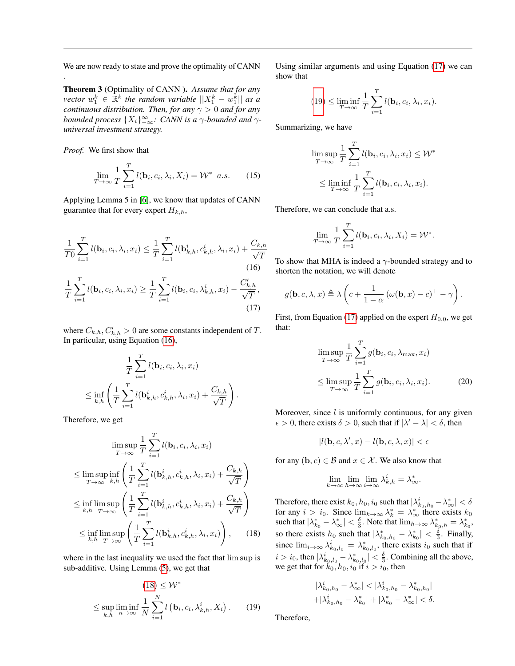We are now ready to state and prove the optimality of CANN

Theorem 3 (Optimality of CANN ). *Assume that for any*  $\mathit{vector}\;w_1^k \in \mathbb{R}^k$  the random variable  $||X_1^k - w_1^k||$  as a *continuous distribution. Then, for any*  $\gamma > 0$  *and for any bounded process*  $\{X_i\}_{-\infty}^{\infty}$ : CANN is a  $\gamma$ -bounded and  $\gamma$ *universal investment strategy.*

*Proof.* We first show that

.

$$
\lim_{T \to \infty} \frac{1}{T} \sum_{i=1}^{T} l(\mathbf{b}_i, c_i, \lambda_i, X_i) = \mathcal{W}^* \quad a.s. \tag{15}
$$

Applying Lemma 5 in [\[6\]](#page-6-5), we know that updates of CANN guarantee that for every expert  $H_{k,h}$ ,

$$
\frac{1}{T0} \sum_{i=1}^{T} l(\mathbf{b}_{i}, c_{i}, \lambda_{i}, x_{i}) \leq \frac{1}{T} \sum_{i=1}^{T} l(\mathbf{b}_{k,h}^{i}, c_{k,h}^{i}, \lambda_{i}, x_{i}) + \frac{C_{k,h}}{\sqrt{T}}
$$
\n(16)\n  
\n
$$
\frac{1}{T} \sum_{i=1}^{T} l(\mathbf{b}_{i}, c_{i}, \lambda_{i}, x_{i}) \geq \frac{1}{T} \sum_{i=1}^{T} l(\mathbf{b}_{i}, c_{i}, \lambda_{k,h}^{i}, x_{i}) - \frac{C_{k,h}'}{\sqrt{T}},
$$
\n(17)

where  $C_{k,h}, C'_{k,h} > 0$  are some constants independent of T. In particular, using Equation [\(16\)](#page-5-0),

$$
\frac{1}{T} \sum_{i=1}^T l(\mathbf{b}_i, c_i, \lambda_i, x_i)
$$
\n
$$
\leq \inf_{k,h} \left( \frac{1}{T} \sum_{i=1}^T l(\mathbf{b}_{k,h}^i, c_{k,h}^i, \lambda_i, x_i) + \frac{C_{k,h}}{\sqrt{T}} \right).
$$

Therefore, we get

$$
\limsup_{T \to \infty} \frac{1}{T} \sum_{i=1}^{T} l(\mathbf{b}_{i}, c_{i}, \lambda_{i}, x_{i})
$$
\n
$$
\leq \limsup_{T \to \infty} \inf_{k,h} \left( \frac{1}{T} \sum_{i=1}^{T} l(\mathbf{b}_{k,h}^{i}, c_{k,h}^{i}, \lambda_{i}, x_{i}) + \frac{C_{k,h}}{\sqrt{T}} \right)
$$
\n
$$
\leq \inf_{k,h} \limsup_{T \to \infty} \left( \frac{1}{T} \sum_{i=1}^{T} l(\mathbf{b}_{k,h}^{i}, c_{k,h}^{i}, \lambda_{i}, x_{i}) + \frac{C_{k,h}}{\sqrt{T}} \right)
$$
\n
$$
\leq \inf_{k,h} \limsup_{T \to \infty} \left( \frac{1}{T} \sum_{i=1}^{T} l(\mathbf{b}_{k,h}^{i}, c_{k,h}^{i}, \lambda_{i}, x_{i}) \right), \qquad (18)
$$

where in the last inequality we used the fact that lim sup is sub-additive. Using Lemma [\(5\)](#page-4-4), we get that

$$
(18) \leq \mathcal{W}^*
$$
  

$$
\leq \sup_{k,h} \liminf_{n \to \infty} \frac{1}{N} \sum_{i=1}^{N} l\left(\mathbf{b}_i, c_i, \lambda^i_{k,h}, X_i\right). \tag{19}
$$

Using similar arguments and using Equation [\(17\)](#page-5-2) we can show that

$$
(19) \leq \liminf_{T \to \infty} \frac{1}{T} \sum_{i=1}^T l(\mathbf{b}_i, c_i, \lambda_i, x_i).
$$

Summarizing, we have

$$
\limsup_{T \to \infty} \frac{1}{T} \sum_{i=1}^{T} l(\mathbf{b}_i, c_i, \lambda_i, x_i) \leq W^*
$$
  

$$
\leq \liminf_{T \to \infty} \frac{1}{T} \sum_{i=1}^{T} l(\mathbf{b}_i, c_i, \lambda_i, x_i).
$$

<span id="page-5-5"></span>Therefore, we can conclude that a.s.

$$
\lim_{T \to \infty} \frac{1}{T} \sum_{i=1}^{T} l(\mathbf{b}_i, c_i, \lambda_i, X_i) = \mathcal{W}^*.
$$

<span id="page-5-0"></span>To show that MHA is indeed a  $\gamma$ -bounded strategy and to shorten the notation, we will denote

$$
g(\mathbf{b}, c, \lambda, x) \triangleq \lambda \left( c + \frac{1}{1 - \alpha} \left( \omega(\mathbf{b}, x) - c \right)^{+} - \gamma \right).
$$

<span id="page-5-2"></span>First, from Equation [\(17\)](#page-5-2) applied on the expert  $H_{0,0}$ , we get that:

<span id="page-5-4"></span>
$$
\limsup_{T \to \infty} \frac{1}{T} \sum_{i=1}^{T} g(\mathbf{b}_i, c_i, \lambda_{\max}, x_i)
$$
\n
$$
\leq \limsup_{T \to \infty} \frac{1}{T} \sum_{i=1}^{T} g(\mathbf{b}_i, c_i, \lambda_i, x_i).
$$
\n(20)

Moreover, since  $l$  is uniformly continuous, for any given  $\epsilon > 0$ , there exists  $\delta > 0$ , such that if  $|\lambda' - \lambda| < \delta$ , then

$$
|l(\mathbf{b}, c, \lambda', x) - l(\mathbf{b}, c, \lambda, x)| < \epsilon
$$

for any  $(b, c) \in B$  and  $x \in \mathcal{X}$ . We also know that

$$
\lim_{k \to \infty} \lim_{h \to \infty} \lim_{i \to \infty} \lambda^i_{k,h} = \lambda^*_{\infty}.
$$

<span id="page-5-1"></span>Therefore, there exist  $k_0, h_0, i_0$  such that  $|\lambda^i_{k_0,h_0} - \lambda^*_{\infty}| < \delta$ for any  $i > i_0$ . Since  $\lim_{k \to \infty} \lambda_k^* = \lambda_\infty^*$  there exists  $k_0$ such that  $|\lambda_{k_0}^* - \lambda_{\infty}^*| < \frac{\delta}{3}$ . Note that  $\lim_{h \to \infty} \lambda_{k_0,h}^* = \lambda_{k_0}^*$ , so there exists  $h_0$  such that  $|\lambda_{k_0,h_0}^* - \lambda_{k_0}^*| < \frac{\delta}{3}$ . Finally, since  $\lim_{i\to\infty} \lambda^i_{k_0,l_0} = \lambda^*_{k_0,l_0}$ , there exists  $i_0$  such that if  $i > i_0$ , then  $|\lambda^i_{k_0, l_0} - \lambda^*_{k_0, l_0}| < \frac{\delta}{3}$ . Combining all the above, we get that for  $k_0$ ,  $h_0$ ,  $i_0$  if  $i > i_0$ , then

$$
|\lambda_{k_0,h_0}^i - \lambda_{\infty}^*| < |\lambda_{k_0,h_0}^i - \lambda_{k_0,h_0}^*| + |\lambda_{k_0,h_0}^i - \lambda_{k_0}^*| + |\lambda_{k_0}^* - \lambda_{\infty}^*| < \delta.
$$

<span id="page-5-3"></span>Therefore,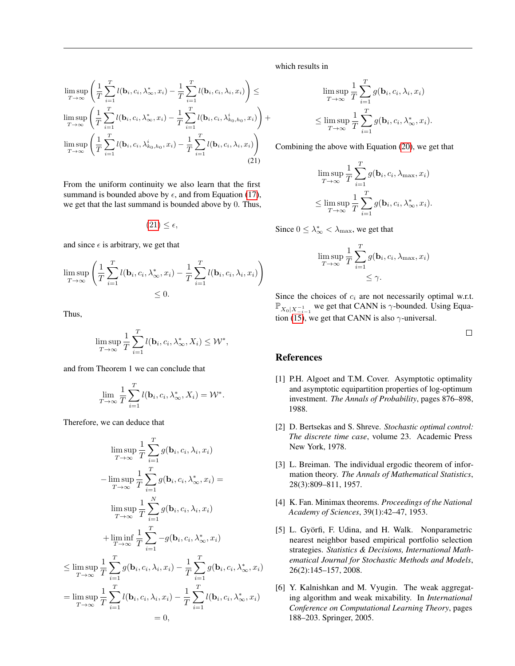$$
\limsup_{T \to \infty} \left( \frac{1}{T} \sum_{i=1}^T l(\mathbf{b}_i, c_i, \lambda^*_{\infty}, x_i) - \frac{1}{T} \sum_{i=1}^T l(\mathbf{b}_i, c_i, \lambda_i, x_i) \right) \le
$$
\n
$$
\limsup_{T \to \infty} \left( \frac{1}{T} \sum_{i=1}^T l(\mathbf{b}_i, c_i, \lambda^*_{\infty}, x_i) - \frac{1}{T} \sum_{i=1}^T l(\mathbf{b}_i, c_i, \lambda^i_{k_0, h_0}, x_i) \right) +
$$
\n
$$
\limsup_{T \to \infty} \left( \frac{1}{T} \sum_{i=1}^T l(\mathbf{b}_i, c_i, \lambda^i_{k_0, h_0}, x_i) - \frac{1}{T} \sum_{i=1}^T l(\mathbf{b}_i, c_i, \lambda_i, x_i) \right)
$$
\n(21)

From the uniform continuity we also learn that the first summand is bounded above by  $\epsilon$ , and from Equation [\(17\)](#page-5-2), we get that the last summand is bounded above by 0. Thus,

$$
(21) \leq \epsilon,
$$

and since  $\epsilon$  is arbitrary, we get that

$$
\limsup_{T \to \infty} \left( \frac{1}{T} \sum_{i=1}^T l(\mathbf{b}_i, c_i, \lambda^*_{\infty}, x_i) - \frac{1}{T} \sum_{i=1}^T l(\mathbf{b}_i, c_i, \lambda_i, x_i) \right) \leq 0.
$$

Thus,

$$
\limsup_{T \to \infty} \frac{1}{T} \sum_{i=1}^{T} l(\mathbf{b}_i, c_i, \lambda^*_{\infty}, X_i) \leq \mathcal{W}^*,
$$

and from Theorem 1 we can conclude that

$$
\lim_{T \to \infty} \frac{1}{T} \sum_{i=1}^{T} l(\mathbf{b}_i, c_i, \lambda^*_{\infty}, X_i) = \mathcal{W}^*.
$$

Therefore, we can deduce that

$$
\limsup_{T \to \infty} \frac{1}{T} \sum_{i=1}^{T} g(\mathbf{b}_i, c_i, \lambda_i, x_i)
$$
\n
$$
-\limsup_{T \to \infty} \frac{1}{T} \sum_{i=1}^{T} g(\mathbf{b}_i, c_i, \lambda^*_{\infty}, x_i) =
$$
\n
$$
\limsup_{T \to \infty} \frac{1}{T} \sum_{i=1}^{N} g(\mathbf{b}_i, c_i, \lambda^*_{\infty}, x_i)
$$
\n
$$
+\liminf_{T \to \infty} \frac{1}{T} \sum_{i=1}^{T} -g(\mathbf{b}_i, c_i, \lambda^*_{\infty}, x_i)
$$
\n
$$
\leq \limsup_{T \to \infty} \frac{1}{T} \sum_{i=1}^{T} g(\mathbf{b}_i, c_i, \lambda_i, x_i) - \frac{1}{T} \sum_{i=1}^{T} g(\mathbf{b}_i, c_i, \lambda^*_{\infty}, x_i)
$$
\n
$$
= \limsup_{T \to \infty} \frac{1}{T} \sum_{i=1}^{T} l(\mathbf{b}_i, c_i, \lambda_i, x_i) - \frac{1}{T} \sum_{i=1}^{T} l(\mathbf{b}_i, c_i, \lambda^*_{\infty}, x_i)
$$
\n
$$
= 0,
$$

which results in

$$
\limsup_{T \to \infty} \frac{1}{T} \sum_{i=1}^{T} g(\mathbf{b}_i, c_i, \lambda_i, x_i)
$$
  

$$
\leq \limsup_{T \to \infty} \frac{1}{T} \sum_{i=1}^{T} g(\mathbf{b}_i, c_i, \lambda^*_{\infty}, x_i).
$$

<span id="page-6-6"></span>Combining the above with Equation [\(20\)](#page-5-4), we get that

$$
\limsup_{T \to \infty} \frac{1}{T} \sum_{i=1}^{T} g(\mathbf{b}_i, c_i, \lambda_{\max}, x_i)
$$
  

$$
\leq \limsup_{T \to \infty} \frac{1}{T} \sum_{i=1}^{T} g(\mathbf{b}_i, c_i, \lambda^*_{\infty}, x_i).
$$

Since  $0 \leq \lambda_{\infty}^* < \lambda_{\max}$ , we get that

$$
\limsup_{T \to \infty} \frac{1}{T} \sum_{i=1}^{T} g(\mathbf{b}_i, c_i, \lambda_{\max}, x_i)
$$
  

$$
\leq \gamma.
$$

Since the choices of  $c_i$  are not necessarily optimal w.r.t.  $\mathbb{P}_{X_0|X_{-i-1}^{-1}}$  we get that CANN is  $\gamma$ -bounded. Using Equa-tion [\(15\)](#page-5-5), we get that CANN is also  $\gamma$ -universal.

 $\Box$ 

#### **References**

- <span id="page-6-3"></span>[1] P.H. Algoet and T.M. Cover. Asymptotic optimality and asymptotic equipartition properties of log-optimum investment. *The Annals of Probability*, pages 876–898, 1988.
- <span id="page-6-1"></span>[2] D. Bertsekas and S. Shreve. *Stochastic optimal control: The discrete time case*, volume 23. Academic Press New York, 1978.
- <span id="page-6-0"></span>[3] L. Breiman. The individual ergodic theorem of information theory. *The Annals of Mathematical Statistics*, 28(3):809–811, 1957.
- <span id="page-6-2"></span>[4] K. Fan. Minimax theorems. *Proceedings of the National Academy of Sciences*, 39(1):42–47, 1953.
- <span id="page-6-4"></span>[5] L. Györfi, F. Udina, and H. Walk. Nonparametric nearest neighbor based empirical portfolio selection strategies. *Statistics & Decisions, International Mathematical Journal for Stochastic Methods and Models*, 26(2):145–157, 2008.
- <span id="page-6-5"></span>[6] Y. Kalnishkan and M. Vyugin. The weak aggregating algorithm and weak mixability. In *International Conference on Computational Learning Theory*, pages 188–203. Springer, 2005.